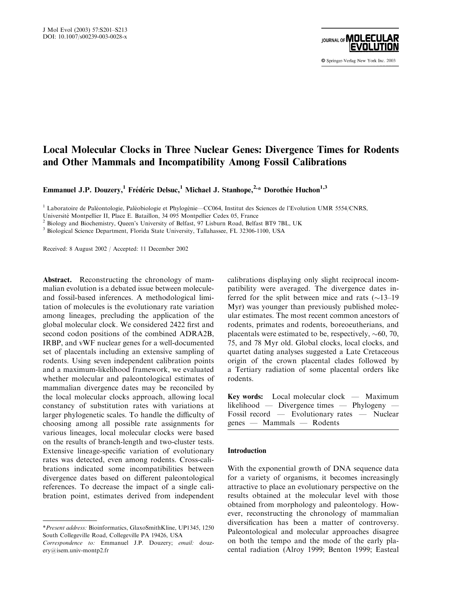

# Local Molecular Clocks in Three Nuclear Genes: Divergence Times for Rodents and Other Mammals and Incompatibility Among Fossil Calibrations

Emmanuel J.P. Douzery,<sup>1</sup> Frédéric Delsuc,<sup>1</sup> Michael J. Stanhope,<sup>2,\*</sup> Dorothée Huchon<sup>1,3</sup>

<sup>1</sup> Laboratoire de Paléontologie, Paléobiologie et Phylogénie—CC064, Institut des Sciences de l'Evolution UMR 5554/CNRS,

Université Montpellier II, Place E. Bataillon, 34 095 Montpellier Cedex 05, France <sup>2</sup> Biology and Biochemistry, Queen's University of Belfast, 97 Lisburn Road, Belfast BT9 7BL, UK

<sup>3</sup> Biological Science Department, Florida State University, Tallahassee, FL 32306-1100, USA

Received: 8 August 2002 / Accepted: 11 December 2002

Abstract. Reconstructing the chronology of mammalian evolution is a debated issue between moleculeand fossil-based inferences. A methodological limitation of molecules is the evolutionary rate variation among lineages, precluding the application of the global molecular clock. We considered 2422 first and second codon positions of the combined ADRA2B, IRBP, and vWF nuclear genes for a well-documented set of placentals including an extensive sampling of rodents. Using seven independent calibration points and a maximum-likelihood framework, we evaluated whether molecular and paleontological estimates of mammalian divergence dates may be reconciled by the local molecular clocks approach, allowing local constancy of substitution rates with variations at larger phylogenetic scales. To handle the difficulty of choosing among all possible rate assignments for various lineages, local molecular clocks were based on the results of branch-length and two-cluster tests. Extensive lineage-specific variation of evolutionary rates was detected, even among rodents. Cross-calibrations indicated some incompatibilities between divergence dates based on different paleontological references. To decrease the impact of a single calibration point, estimates derived from independent

calibrations displaying only slight reciprocal incompatibility were averaged. The divergence dates inferred for the split between mice and rats  $(\sim 13-19)$ Myr) was younger than previously published molecular estimates. The most recent common ancestors of rodents, primates and rodents, boreoeutherians, and placentals were estimated to be, respectively,  $\sim 60$ , 70, 75, and 78 Myr old. Global clocks, local clocks, and quartet dating analyses suggested a Late Cretaceous origin of the crown placental clades followed by a Tertiary radiation of some placental orders like rodents.

| <b>Key words:</b> Local molecular clock — Maximum |  |
|---------------------------------------------------|--|
| likelihood — Divergence times — Phylogeny —       |  |
| Fossil record — Evolutionary rates — Nuclear      |  |
| genes — Mammals — Rodents                         |  |

# Introduction

With the exponential growth of DNA sequence data for a variety of organisms, it becomes increasingly attractive to place an evolutionary perspective on the results obtained at the molecular level with those obtained from morphology and paleontology. However, reconstructing the chronology of mammalian diversification has been a matter of controversy. Paleontological and molecular approaches disagree on both the tempo and the mode of the early placental radiation (Alroy 1999; Benton 1999; Easteal

<sup>\*</sup>Present address: Bioinformatics, GlaxoSmithKline, UP1345, 1250 South Collegeville Road, Collegeville PA 19426, USA

Correspondence to: Emmanuel J.P. Douzery; email: douzery@isem.univ-montp2.fr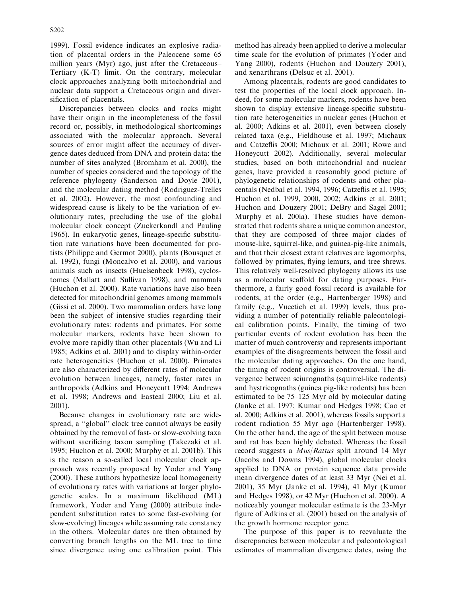1999). Fossil evidence indicates an explosive radiation of placental orders in the Paleocene some 65 million years (Myr) ago, just after the Cretaceous– Tertiary (K-T) limit. On the contrary, molecular clock approaches analyzing both mitochondrial and nuclear data support a Cretaceous origin and diversification of placentals.

Discrepancies between clocks and rocks might have their origin in the incompleteness of the fossil record or, possibly, in methodological shortcomings associated with the molecular approach. Several sources of error might affect the accuracy of divergence dates deduced from DNA and protein data: the number of sites analyzed (Bromham et al. 2000), the number of species considered and the topology of the reference phylogeny (Sanderson and Doyle 2001), and the molecular dating method (Rodriguez-Trelles et al. 2002). However, the most confounding and widespread cause is likely to be the variation of evolutionary rates, precluding the use of the global molecular clock concept (Zuckerkandl and Pauling 1965). In eukaryotic genes, lineage-specific substitution rate variations have been documented for protists (Philippe and Germot 2000), plants (Bousquet et al. 1992), fungi (Moncalvo et al. 2000), and various animals such as insects (Huelsenbeck 1998), cyclostomes (Mallatt and Sullivan 1998), and mammals (Huchon et al. 2000). Rate variations have also been detected for mitochondrial genomes among mammals (Gissi et al. 2000). Two mammalian orders have long been the subject of intensive studies regarding their evolutionary rates: rodents and primates. For some molecular markers, rodents have been shown to evolve more rapidly than other placentals (Wu and Li 1985; Adkins et al. 2001) and to display within-order rate heterogeneities (Huchon et al. 2000). Primates are also characterized by different rates of molecular evolution between lineages, namely, faster rates in anthropoids (Adkins and Honeycutt 1994; Andrews et al. 1998; Andrews and Easteal 2000; Liu et al. 2001).

Because changes in evolutionary rate are widespread, a ''global'' clock tree cannot always be easily obtained by the removal of fast- or slow-evolving taxa without sacrificing taxon sampling (Takezaki et al. 1995; Huchon et al. 2000; Murphy et al. 2001b). This is the reason a so-called local molecular clock approach was recently proposed by Yoder and Yang (2000). These authors hypothesize local homogeneity of evolutionary rates with variations at larger phylogenetic scales. In a maximum likelihood (ML) framework, Yoder and Yang (2000) attribute independent substitution rates to some fast-evolving (or slow-evolving) lineages while assuming rate constancy in the others. Molecular dates are then obtained by converting branch lengths on the ML tree to time since divergence using one calibration point. This method has already been applied to derive a molecular time scale for the evolution of primates (Yoder and Yang 2000), rodents (Huchon and Douzery 2001), and xenarthrans (Delsuc et al. 2001).

Among placentals, rodents are good candidates to test the properties of the local clock approach. Indeed, for some molecular markers, rodents have been shown to display extensive lineage-specific substitution rate heterogeneities in nuclear genes (Huchon et al. 2000; Adkins et al. 2001), even between closely related taxa (e.g., Fieldhouse et al. 1997; Michaux and Catzeflis 2000; Michaux et al. 2001; Rowe and Honeycutt 2002). Additionally, several molecular studies, based on both mitochondrial and nuclear genes, have provided a reasonably good picture of phylogenetic relationships of rodents and other placentals (Nedbal et al. 1994, 1996; Catzeflis et al. 1995; Huchon et al. 1999, 2000, 2002; Adkins et al. 2001; Huchon and Douzery 2001; DeBry and Sagel 2001; Murphy et al. 200la). These studies have demonstrated that rodents share a unique common ancestor, that they are composed of three major clades of mouse-like, squirrel-like, and guinea-pig-like animals, and that their closest extant relatives are lagomorphs, followed by primates, flying lemurs, and tree shrews. This relatively well-resolved phylogeny allows its use as a molecular scaffold for dating purposes. Furthermore, a fairly good fossil record is available for rodents, at the order (e.g., Hartenberger 1998) and family (e.g., Vucetich et al. 1999) levels, thus providing a number of potentially reliable paleontological calibration points. Finally, the timing of two particular events of rodent evolution has been the matter of much controversy and represents important examples of the disagreements between the fossil and the molecular dating approaches. On the one hand, the timing of rodent origins is controversial. The divergence between sciurognaths (squirrel-like rodents) and hystricognaths (guinea pig-like rodents) has been estimated to be 75–125 Myr old by molecular dating (Janke et al. 1997; Kumar and Hedges 1998; Cao et al. 2000; Adkins et al. 2001), whereas fossils support a rodent radiation 55 Myr ago (Hartenberger 1998). On the other hand, the age of the split between mouse and rat has been highly debated. Whereas the fossil record suggests a Mus/Rattus split around 14 Myr (Jacobs and Downs 1994), global molecular clocks applied to DNA or protein sequence data provide mean divergence dates of at least 33 Myr (Nei et al. 2001), 35 Myr (Janke et al. 1994), 41 Myr (Kumar and Hedges 1998), or 42 Myr (Huchon et al. 2000). A noticeably younger molecular estimate is the 23-Myr figure of Adkins et al. (2001) based on the analysis of the growth hormone receptor gene.

The purpose of this paper is to reevaluate the discrepancies between molecular and paleontological estimates of mammalian divergence dates, using the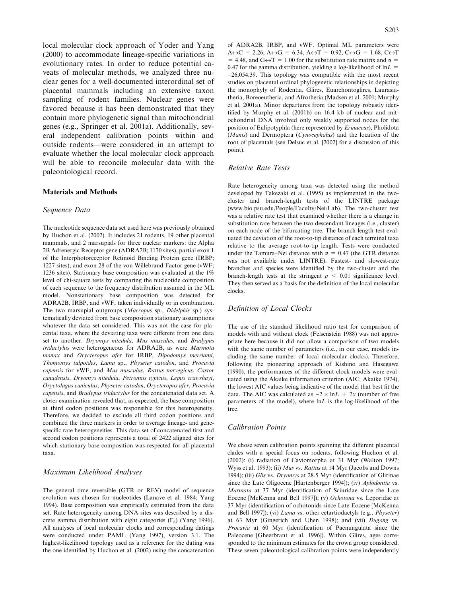local molecular clock approach of Yoder and Yang (2000) to accommodate lineage-specific variations in evolutionary rates. In order to reduce potential caveats of molecular methods, we analyzed three nuclear genes for a well-documented interordinal set of placental mammals including an extensive taxon sampling of rodent families. Nuclear genes were favored because it has been demonstrated that they contain more phylogenetic signal than mitochondrial genes (e.g., Springer et al. 2001a). Additionally, several independent calibration points—within and outside rodents—were considered in an attempt to evaluate whether the local molecular clock approach will be able to reconcile molecular data with the paleontological record.

### Materials and Methods

#### Sequence Data

The nucleotide sequence data set used here was previously obtained by Huchon et al. (2002). It includes 21 rodents, 19 other placental mammals, and 2 marsupials for three nuclear markers: the Alpha 2B Adrenergic Receptor gene (ADRA2B; 1170 sites), partial exon 1 of the Interphotoreceptor Retinoid Binding Protein gene (IRBP; 1227 sites), and exon 28 of the von Willebrand Factor gene (vWF; 1236 sites). Stationary base composition was evaluated at the 1% level of chi-square tests by comparing the nucleotide composition of each sequence to the frequency distribution assumed in the ML model. Nonstationary base composition was detected for ADRA2B, IRBP, and vWF, taken individually or in combination. The two marsupial outgroups (Macropus sp., Didelphis sp.) systematically deviated from base composition stationary assumptions whatever the data set considered. This was not the case for placental taxa, where the deviating taxa were different from one data set to another. Dryomys nitedula, Mus musculus, and Bradypus tridactylus were heterogeneous for ADRA2B, as were Marmota monax and Orycteropus afer for IRBP, Dipodomys merriami, Thomomys talpoides, Lama sp., Physeter catodon, and Procavia capensis for vWF, and Mus musculus, Rattus norvegicus, Castor canadensis, Dryomys nitedula, Petromus typicus, Lepus crawshayi, Oryctolagus cuniculus, Physeter catodon, Orycteropus afer, Procavia capensis, and Bradypus tridactylus for the concatenated data set. A closer examination revealed that, as expected, the base composition at third codon positions was responsible for this heterogeneity. Therefore, we decided to exclude all third codon positions and combined the three markers in order to average lineage- and genespecific rate heterogeneities. This data set of concatenated first and second codon positions represents a total of 2422 aligned sites for which stationary base composition was respected for all placental taxa.

#### Maximum Likelihood Analyses

The general time reversible (GTR or REV) model of sequence evolution was chosen for nucleotides (Lanave et al. 1984; Yang 1994). Base composition was empirically estimated from the data set. Rate heterogeneity among DNA sites was described by a discrete gamma distribution with eight categories  $(\Gamma_8)$  (Yang 1996). All analyses of local molecular clocks and corresponding datings were conducted under PAML (Yang 1997), version 3.1. The highest-likelihood topology used as a reference for the dating was the one identified by Huchon et al. (2002) using the concatenation

of ADRA2B, IRBP, and vWF. Optimal ML parameters were  $A \leftrightarrow C = 2.26$ ,  $A \leftrightarrow G = 6.34$ ,  $A \leftrightarrow T = 0.92$ ,  $C \leftrightarrow G = 1.68$ ,  $C \leftrightarrow T$ = 4.48, and G $\leftrightarrow$ T = 1.00 for the substitution rate matrix and  $\alpha$  = 0.47 for the gamma distribution, yielding a log-likelihood of  $ln L =$  $-26,054.39$ . This topology was compatible with the most recent studies on placental ordinal phylogenetic relationships in depicting the monophyly of Rodentia, Glires, Euarchontoglires, Laurasiatheria, Boreoeutheria, and Afrotheria (Madsen et al. 2001; Murphy et al. 2001a). Minor departures from the topology robustly identified by Murphy et al. (2001b) on 16.4 kb of nuclear and mitochondrial DNA involved only weakly supported nodes for the position of Eulipotyphla (here represented by Erinaceus), Pholidota (Manis) and Dermoptera (Cynocephalus) and the location of the root of placentals (see Delsuc et al. [2002] for a discussion of this point).

### Relative Rate Tests

Rate heterogeneity among taxa was detected using the method developed by Takezaki et al. (1995) as implemented in the twocluster and branch-length tests of the LINTRE package (www.bio.psu.edu/People/Faculty/Nei/Lab). The two-cluster test was a relative rate test that examined whether there is a change in substitution rate between the two descendant lineages (i.e., cluster) on each node of the bifurcating tree. The branch-length test evaluated the deviation of the root-to-tip distance of each terminal taxa relative to the average root-to-tip length. Tests were conducted under the Tamura–Nei distance with  $\alpha = 0.47$  (the GTR distance was not available under LINTRE). Fastest- and slowest-rate branches and species were identified by the two-cluster and the branch-length tests at the stringent  $p \leq 0.01$  significance level. They then served as a basis for the definition of the local molecular clocks.

#### Definition of Local Clocks

The use of the standard likelihood ratio test for comparison of models with and without clock (Felsenstein 1988) was not appropriate here because it did not allow a comparison of two models with the same number of parameters (i.e., in our case, models including the same number of local molecular clocks). Therefore, following the pioneering approach of Kishino and Hasegawa (1990), the performances of the different clock models were evaluated using the Akaike information criterion (AIC; Akaike 1974), the lowest AIC values being indicative of the model that best fit the data. The AIC was calculated as  $-2 \times \ln L + 2x$  (number of free parameters of the model), where  $ln L$  is the log-likelihood of the tree.

# Calibration Points

We chose seven calibration points spanning the different placental clades with a special focus on rodents, following Huchon et al. (2002): (i) radiation of Caviomorpha at 31 Myr (Walton 1997; Wyss et al. 1993); (ii) Mus vs. Rattus at 14 Myr (Jacobs and Downs 1994); (iii) Glis vs. Dryomys at 28.5 Myr (identification of Glirinae since the Late Oligocene [Hartenberger 1994]); (iv) Aplodontia vs. Marmota at 37 Myr (identification of Sciuridae since the Late Eocene [McKenna and Bell 1997]); (v) Ochotona vs. Leporidae at 37 Myr (identification of ochotonids since Late Eocene [McKenna and Bell 1997]); (vi) Lama vs. other cetartiodactyls (e.g., Physeter) at 63 Myr (Gingerich and Uhen 1998); and (vii) Dugong vs. Procavia at 60 Myr (identification of Paenungulata since the Paleocene [Gheerbrant et al. 1996]). Within Glires, ages corresponded to the minimum estimates for the crown group considered. These seven paleontological calibration points were independently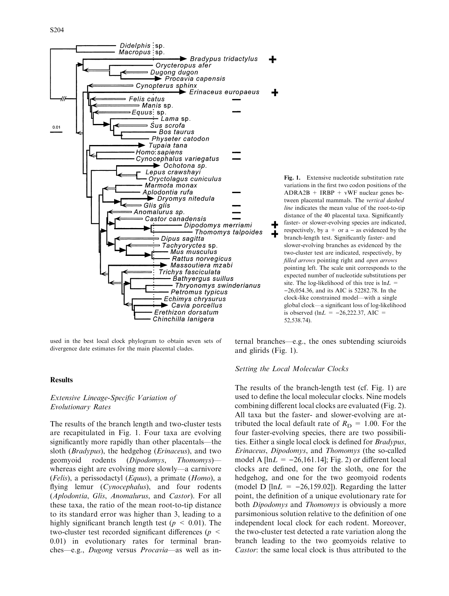

used in the best local clock phylogram to obtain seven sets of divergence date estimates for the main placental clades.

### **Results**

# Extensive Lineage-Specific Variation of Evolutionary Rates

The results of the branch length and two-cluster tests are recapitulated in Fig. 1. Four taxa are evolving significantly more rapidly than other placentals—the sloth (Bradypus), the hedgehog (Erinaceus), and two geomyoid rodents (Dipodomys, Thomomys) whereas eight are evolving more slowly—a carnivore (*Felis*), a perissodactyl (*Equus*), a primate (*Homo*), a flying lemur (Cynocephalus), and four rodents (Aplodontia, Glis, Anomalurus, and Castor). For all these taxa, the ratio of the mean root-to-tip distance to its standard error was higher than 3, leading to a highly significant branch length test ( $p < 0.01$ ). The two-cluster test recorded significant differences ( $p \leq$ 0.01) in evolutionary rates for terminal branches—e.g., Dugong versus Procavia—as well as in-

Fig. 1. Extensive nucleotide substitution rate variations in the first two codon positions of the  $ADRA2B + IRBP + vWF$  nuclear genes between placental mammals. The vertical dashed line indicates the mean value of the root-to-tip distance of the 40 placental taxa. Significantly faster- or slower-evolving species are indicated, respectively, by  $a + or a - as$  evidenced by the branch-length test. Significantly faster- and slower-evolving branches as evidenced by the two-cluster test are indicated, respectively, by filled arrows pointing right and open arrows pointing left. The scale unit corresponds to the expected number of nucleotide substitutions per site. The log-likelihood of this tree is  $ln L =$  $-26,054.36$ , and its AIC is 52282.78. In the clock-like constrained model—with a single global clock—a significant loss of log-likelihood is observed (lnL =  $-26,222.37,$  AIC = 52,538.74). 1

ternal branches—e.g., the ones subtending sciuroids and glirids (Fig. 1).

#### Setting the Local Molecular Clocks

The results of the branch-length test (cf. Fig. 1) are used to define the local molecular clocks. Nine models combining different local clocks are evaluated (Fig. 2). All taxa but the faster- and slower-evolving are attributed the local default rate of  $R_D = 1.00$ . For the four faster-evolving species, there are two possibilities. Either a single local clock is defined for Bradypus, Erinaceus, Dipodomys, and Thomomys (the so-called model A  $[\ln L = -26,161.14]$ ; Fig. 2) or different local clocks are defined, one for the sloth, one for the hedgehog, and one for the two geomyoid rodents (model D [ln $L = -26,159.02$ ]). Regarding the latter point, the definition of a unique evolutionary rate for both *Dipodomys* and *Thomomys* is obviously a more parsimonious solution relative to the definition of one independent local clock for each rodent. Moreover, the two-cluster test detected a rate variation along the branch leading to the two geomyoids relative to Castor: the same local clock is thus attributed to the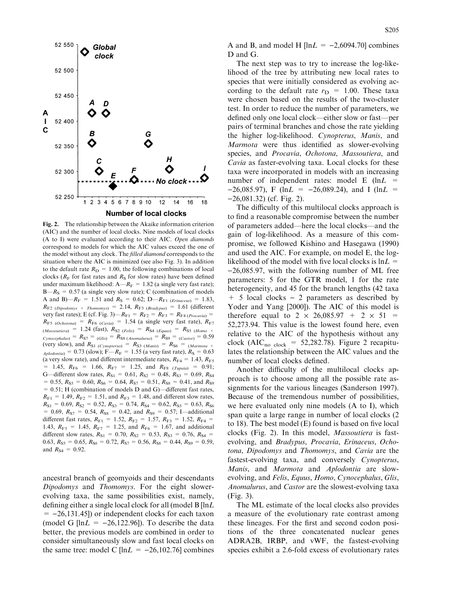

Fig. 2. The relationship between the Akaike information criterion (AIC) and the number of local clocks. Nine models of local clocks (A to I) were evaluated according to their AIC. Open diamonds correspond to models for which the AIC values exceed the one of the model without any clock. The filled diamond corresponds to the situation where the AIC is minimized (see also Fig. 3). In addition to the default rate  $R_D = 1.00$ , the following combinations of local clocks ( $R_F$  for fast rates and  $R_S$  for slow rates) have been defined under maximum likelihood:  $A - R_F = 1.82$  (a single very fast rate);  $B-R<sub>S</sub> = 0.57$  (a single very slow rate); C (combination of models A and B)— $R_F = 1.51$  and  $R_S = 0.62$ ; D— $R_{F1}$  (Erinaceus) = 1.83,  $R_{\text{F2 (Dipodomys + Thompson)}} = 2.14, R_{\text{F3 (Bradypus)}} = 1.61$  (different very fast rates); E (cf. Fig. 3)— $R_{F1} = R_{F2} = R_{F3} = R_{F4} (Procavia)$  $R_{F5 (Ochotona)} = R_{F6 (Cavia)} = 1.54$  (a single very fast rate),  $R_{F7}$  $(Massoutiera) = 1.24$  (fast),  $R_{S2}$  (Felis) =  $R_{S4}$  (Equus) =  $R_{S5}$  (Homo +  $Cynocephalus$  =  $R_{S7} = (Glis) = R_{S8} (Anomalurus) = R_{S9} = (Castor) = 0.59$ (very slow), and  $R_{S1}$  (Cynopterus) =  $R_{S3}$  (Manis) =  $R_{S6}$  = (Marmota +  $_{Aplodontia)} = 0.73$  (slow); F— $R_F = 1.55$  (a very fast rate),  $R_S = 0.63$ (a very slow rate), and different intermediate rates,  $R_{\text{F4}} = 1.43, R_{\text{F5}}$  $= 1.45$ ,  $R_{\text{F6}} = 1.66$ ,  $R_{\text{F7}} = 1.25$ , and  $R_{\text{F8}}$  (Tupaia) = 0.91; G—different slow rates,  $R_{S1} = 0.61, R_{S2} = 0.48, R_{S3} = 0.69, R_{S4}$  $= 0.55, R_{SS} = 0.60, R_{S6} = 0.64, R_{S7} = 0.51, R_{SS} = 0.41,$  and  $R_{S9}$  $= 0.51$ ; H (combination of models D and G)—different fast rates,  $R_{F1} = 1.49, R_{F2} = 1.51,$  and  $R_{F3} = 1.48$ , and different slow rates,  $R_{S1} = 0.69, R_{S2} = 0.52, R_{S3} = 0.74, R_{S4} = 0.62, R_{S5} = 0.63, R_{S6}$ = 0.69,  $R_{S7}$  = 0.54,  $R_{S8}$  = 0.42, and  $R_{S9}$  = 0.57; I—additional different fast rates,  $R_{F1} = 1.52, R_{F2} = 1.57, R_{F3} = 1.52, R_{F4} =$ 1.43,  $R_{F5} = 1.45$ ,  $R_{F7} = 1.25$ , and  $R_{F6} = 1.67$ , and additional different slow rates,  $R_{S1} = 0.70$ ,  $R_{S2} = 0.53$ ,  $R_{S3} = 0.76$ ,  $R_{S4} =$ 0.63,  $R_{\rm S5} = 0.65$ ,  $R_{\rm S6} = 0.72$ ,  $R_{\rm S7} = 0.56$ ,  $R_{\rm S8} = 0.44$ ,  $R_{\rm S9} = 0.59$ , and  $R_{S4} = 0.92$ .

ancestral branch of geomyoids and their descendants Dipodomys and Thomomys. For the eight slowerevolving taxa, the same possibilities exist, namely, defining either a single local clock for all (model B [lnL  $= -26,131.45$ ]) or independent clocks for each taxon (model G  $[\ln L = -26,122.96]$ ). To describe the data better, the previous models are combined in order to consider simultaneously slow and fast local clocks on the same tree: model C  $[\ln L = -26,102.76]$  combines A and B, and model H  $[\ln L = -2,6094.70]$  combines D and G.

The next step was to try to increase the log-likelihood of the tree by attributing new local rates to species that were initially considered as evolving according to the default rate  $r_D = 1.00$ . These taxa were chosen based on the results of the two-cluster test. In order to reduce the number of parameters, we defined only one local clock—either slow or fast—per pairs of terminal branches and chose the rate yielding the higher log-likelihood. Cynopterus, Manis, and Marmota were thus identified as slower-evolving species, and Procavia, Ochotona, Massoutiera, and Cavia as faster-evolving taxa. Local clocks for these taxa were incorporated in models with an increasing number of independent rates: model E  $(lnL =$  $-26,085.97$ , F (lnL =  $-26,089.24$ ), and I (lnL =  $-26,081.32$ ) (cf. Fig. 2).

The difficulty of this multilocal clocks approach is to find a reasonable compromise between the number of parameters added—here the local clocks—and the gain of log-likelihood. As a measure of this compromise, we followed Kishino and Hasegawa (1990) and used the AIC. For example, on model E, the loglikelihood of the model with five local clocks is  $ln L =$  $-26,085.97$ , with the following number of ML free parameters: 5 for the GTR model, 1 for the rate heterogeneity, and 45 for the branch lengths (42 taxa  $+$  5 local clocks – 2 parameters as described by Yoder and Yang [2000]). The AIC of this model is therefore equal to  $2 \times 26,085.97 + 2 \times 51 =$ 52,273.94. This value is the lowest found here, even relative to the AIC of the hypothesis without any clock (AIC<sub>no clock</sub> = 52,282.78). Figure 2 recapitulates the relationship between the AIC values and the number of local clocks defined.

Another difficulty of the multilocal clocks approach is to choose among all the possible rate assignments for the various lineages (Sanderson 1997). Because of the tremendous number of possibilities, we here evaluated only nine models (A to I), which span quite a large range in number of local clocks (2 to 18). The best model (E) found is based on five local clocks (Fig. 2). In this model, Massoutiera is fastevolving, and Bradypus, Procavia, Erinaceus, Ochotona, Dipodomys and Thomomys, and Cavia are the fastest-evolving taxa, and conversely Cynopterus, Manis, and Marmota and Aplodontia are slowevolving, and Felis, Equus, Homo, Cynocephalus, Glis, Anomalurus, and Castor are the slowest-evolving taxa (Fig. 3).

The ML estimate of the local clocks also provides a measure of the evolutionary rate contrast among these lineages. For the first and second codon positions of the three concatenated nuclear genes ADRA2B, IRBP, and vWF, the fastest-evolving species exhibit a 2.6-fold excess of evolutionary rates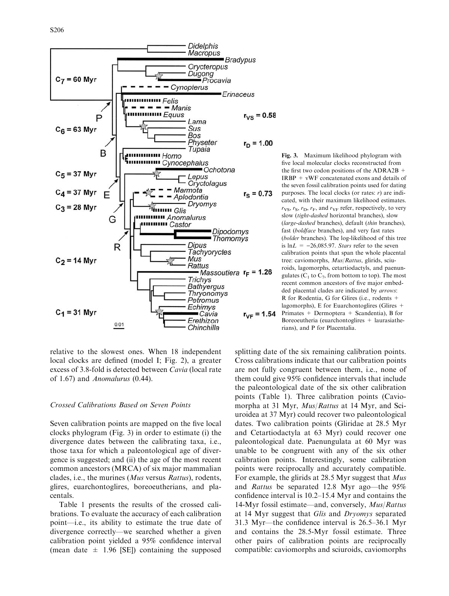

relative to the slowest ones. When 18 independent local clocks are defined (model I; Fig. 2), a greater excess of 3.8-fold is detected between Cavia (local rate of 1.67) and Anomalurus (0.44).

# Crossed Calibrations Based on Seven Points

Seven calibration points are mapped on the five local clocks phylogram (Fig. 3) in order to estimate (i) the divergence dates between the calibrating taxa, i.e., those taxa for which a paleontological age of divergence is suggested; and (ii) the age of the most recent common ancestors (MRCA) of six major mammalian clades, i.e., the murines (Mus versus Rattus), rodents, glires, euarchontoglires, boreoeutherians, and placentals.

Table 1 presents the results of the crossed calibrations. To evaluate the accuracy of each calibration point—i.e., its ability to estimate the true date of divergence correctly—we searched whether a given calibration point yielded a 95% confidence interval (mean date  $\pm$  1.96 [SE]) containing the supposed

Fig. 3. Maximum likelihood phylogram with five local molecular clocks reconstructed from the first two codon positions of the ADRA2B  $+$ IRBP + vWF concatenated exons and details of the seven fossil calibration points used for dating purposes. The local clocks (or rates:  $r$ ) are indicated, with their maximum likelihood estimates.  $r_{VS}$ ,  $r_{S}$ ,  $r_{D}$ ,  $r_{F}$ , and  $r_{VF}$  refer, respectively, to very slow (tight-dashed horizontal branches), slow (large-dashed branches), default (thin branches), fast (boldface branches), and very fast rates (bolder branches). The log-likelihood of this tree is  $ln L = -26,085.97$ . Stars refer to the seven calibration points that span the whole placental tree: caviomorphs, Mus/Rattus, glirids, sciuroids, lagomorphs, cetartiodactyls, and paenungulates ( $C_1$  to  $C_7$ , from bottom to top). The most recent common ancestors of five major embedded placental clades are indicated by arrows: R for Rodentia, G for Glires (i.e., rodents + lagomorphs), E for Euarchontoglires (Glires + Primates + Dermoptera + Scandentia), B for Boreoeutheria (euarchontoglires  $+$  laurasiatherians), and P for Placentalia.

splitting date of the six remaining calibration points. Cross calibrations indicate that our calibration points are not fully congruent between them, i.e., none of them could give 95% confidence intervals that include the paleontological date of the six other calibration points (Table 1). Three calibration points (Caviomorpha at 31 Myr, Mus/Rattus at 14 Myr, and Sciuroidea at 37 Myr) could recover two paleontological dates. Two calibration points (Gliridae at 28.5 Myr and Cetartiodactyla at 63 Myr) could recover one paleontological date. Paenungulata at 60 Myr was unable to be congruent with any of the six other calibration points. Interestingly, some calibration points were reciprocally and accurately compatible. For example, the glirids at 28.5 Myr suggest that Mus and Rattus be separated 12.8 Myr ago—the 95% confidence interval is 10.2–15.4 Myr and contains the 14-Myr fossil estimate—and, conversely, Mus/Rattus at 14 Myr suggest that Glis and Dryomys separated 31.3 Myr—the confidence interval is 26.5–36.1 Myr and contains the 28.5-Myr fossil estimate. Three other pairs of calibration points are reciprocally compatible: caviomorphs and sciuroids, caviomorphs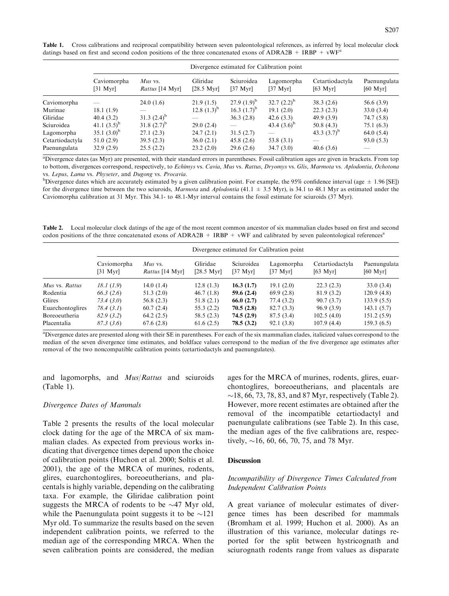Table 1. Cross calibrations and reciprocal compatibility between seven paleontological references, as inferred by local molecular clock datings based on first and second codon positions of the three concatenated exons of ADRA2B + IRBP +  $vWF^a$ 

|                 | Divergence estimated for Calibration point |                                   |                                  |                                  |                                  |                                       |                          |  |  |
|-----------------|--------------------------------------------|-----------------------------------|----------------------------------|----------------------------------|----------------------------------|---------------------------------------|--------------------------|--|--|
|                 | Caviomorpha<br>$[31 \text{ Myr}]$          | <i>Mus</i> vs.<br>Rattus [14 Myr] | Gliridae<br>$[28.5 \text{ Myr}]$ | Sciuroidea<br>$[37 \text{ Myr}]$ | Lagomorpha<br>$[37 \text{ Myr}]$ | Cetartiodactyla<br>$[63 \text{ Myr}]$ | Paenungulata<br>[60 Myr] |  |  |
| Caviomorpha     |                                            | 24.0(1.6)                         | 21.9(1.5)                        | $27.9(1.9)^{b}$                  | $32.7(2.2)^{b}$                  | 38.3(2.6)                             | 56.6(3.9)                |  |  |
| Murinae         | 18.1(1.9)                                  |                                   | 12.8 $(1.3)^{b}$                 | 16.3 $(1.7)^{b}$                 | 19.1(2.0)                        | 22.3(2.3)                             | 33.0(3.4)                |  |  |
| Gliridae        | 40.4(3.2)                                  | $31.3(2.4)^{b}$                   |                                  | 36.3(2.8)                        | 42.6(3.3)                        | 49.9 (3.9)                            | 74.7 (5.8)               |  |  |
| Sciuroidea      | 41.1 $(3.5)^b$                             | 31.8 $(2.7)^{b}$                  | 29.0(2.4)                        |                                  | 43.4 $(3.6)^{\circ}$             | 50.8(4.3)                             | 75.1(6.3)                |  |  |
| Lagomorpha      | 35.1 $(3.0)^b$                             | 27.1(2.3)                         | 24.7(2.1)                        | 31.5(2.7)                        |                                  | 43.3 $(3.7)^b$                        | 64.0(5.4)                |  |  |
| Cetartiodactyla | 51.0(2.9)                                  | 39.5(2.3)                         | 36.0(2.1)                        | 45.8(2.6)                        | 53.8(3.1)                        | __                                    | 93.0(5.3)                |  |  |
| Paenungulata    | 32.9(2.9)                                  | 25.5(2.2)                         | 23.2(2.0)                        | 29.6(2.6)                        | 34.7(3.0)                        | 40.6(3.6)                             |                          |  |  |

a Divergence dates (as Myr) are presented, with their standard errors in parentheses. Fossil calibration ages are given in brackets. From top to bottom, divergences correspond, respectively, to Echimys vs. Cavia, Mus vs. Rattus, Dryomys vs. Glis, Marmota vs. Aplodontia, Ochotona vs. Lepus, Lama vs. Physeter, and Dugong vs. Procavia.

<sup>b</sup>Divergence dates which are accurately estimated by a given calibration point. For example, the 95% confidence interval (age  $\pm$  1.96 [SE]) for the divergence time between the two sciuroids, Marmota and Aplodontia (41.1  $\pm$  3.5 Myr), is 34.1 to 48.1 Myr as estimated under the Caviomorpha calibration at 31 Myr. This 34.1- to 48.1-Myr interval contains the fossil estimate for sciuroids (37 Myr).

Table 2. Local molecular clock datings of the age of the most recent common ancestor of six mammalian clades based on first and second codon positions of the three concatenated exons of  $ADRA2B + IRBP + vWF$  and calibrated by seven paleontological references<sup>a</sup>

|                  | Divergence estimated for Calibration point |                                          |                                  |                                  |                                  |                                       |                          |  |  |
|------------------|--------------------------------------------|------------------------------------------|----------------------------------|----------------------------------|----------------------------------|---------------------------------------|--------------------------|--|--|
|                  | Caviomorpha<br>[31 Mvr]                    | <i>Mus</i> vs.<br><i>Rattus</i> [14 Myr] | Gliridae<br>$[28.5 \text{ Myr}]$ | Sciuroidea<br>$[37 \text{ Myr}]$ | Lagomorpha<br>$[37 \text{ Myr}]$ | Cetartiodactyla<br>$[63 \text{ Myr}]$ | Paenungulata<br>[60 Myr] |  |  |
| Mus vs. Rattus   | 18.1(1.9)                                  | 14.0(1.4)                                | 12.8(1.3)                        | 16.3(1.7)                        | 19.1(2.0)                        | 22.3(2.3)                             | 33.0(3.4)                |  |  |
| Rodentia         | 66.3(2.6)                                  | 51.3(2.0)                                | 46.7(1.8)                        | 59.6(2.4)                        | 69.9(2.8)                        | 81.9 (3.2)                            | 120.9(4.8)               |  |  |
| Glires           | 73.4 (3.0)                                 | 56.8(2.3)                                | 51.8(2.1)                        | 66.0(2.7)                        | 77.4 (3.2)                       | 90.7(3.7)                             | 133.9(5.5)               |  |  |
| Euarchontoglires | 78.4(3.1)                                  | 60.7(2.4)                                | 55.3(2.2)                        | 70.5(2.8)                        | 82.7(3.3)                        | 96.9(3.9)                             | 143.1(5.7)               |  |  |
| Boreoeutheria    | 82.9(3.2)                                  | 64.2(2.5)                                | 58.5(2.3)                        | 74.5(2.9)                        | 87.5(3.4)                        | 102.5(4.0)                            | 151.2(5.9)               |  |  |
| Placentalia      | 87.3(3.6)                                  | 67.6(2.8)                                | 61.6(2.5)                        | 78.5 (3.2)                       | 92.1(3.8)                        | 107.9(4.4)                            | 159.3(6.5)               |  |  |
|                  |                                            |                                          |                                  |                                  |                                  |                                       |                          |  |  |

<sup>a</sup>Divergence dates are presented along with their SE in parentheses. For each of the six mammalian clades, italicized values correspond to the median of the seven divergence time estimates, and boldface values correspond to the median of the five divergence age estimates after removal of the two noncompatible calibration points (cetartiodactyls and paenungulates).

and lagomorphs, and Mus/Rattus and sciuroids (Table 1).

#### Divergence Dates of Mammals

Table 2 presents the results of the local molecular clock dating for the age of the MRCA of six mammalian clades. As expected from previous works indicating that divergence times depend upon the choice of calibration points (Huchon et al. 2000; Soltis et al. 2001), the age of the MRCA of murines, rodents, glires, euarchontoglires, boreoeutherians, and placentals is highly variable, depending on the calibrating taxa. For example, the Gliridae calibration point suggests the MRCA of rodents to be  $\sim$ 47 Myr old, while the Paenungulata point suggests it to be  $\sim$ 121 Myr old. To summarize the results based on the seven independent calibration points, we referred to the median age of the corresponding MRCA. When the seven calibration points are considered, the median ages for the MRCA of murines, rodents, glires, euarchontoglires, boreoeutherians, and placentals are  $\sim$ 18, 66, 73, 78, 83, and 87 Myr, respectively (Table 2). However, more recent estimates are obtained after the removal of the incompatible cetartiodactyl and paenungulate calibrations (see Table 2). In this case, the median ages of the five calibrations are, respectively,  $\sim$ 16, 60, 66, 70, 75, and 78 Myr.

### **Discussion**

# Incompatibility of Divergence Times Calculated from Independent Calibration Points

A great variance of molecular estimates of divergence times has been described for mammals (Bromham et al. 1999; Huchon et al. 2000). As an illustration of this variance, molecular datings reported for the split between hystricognath and sciurognath rodents range from values as disparate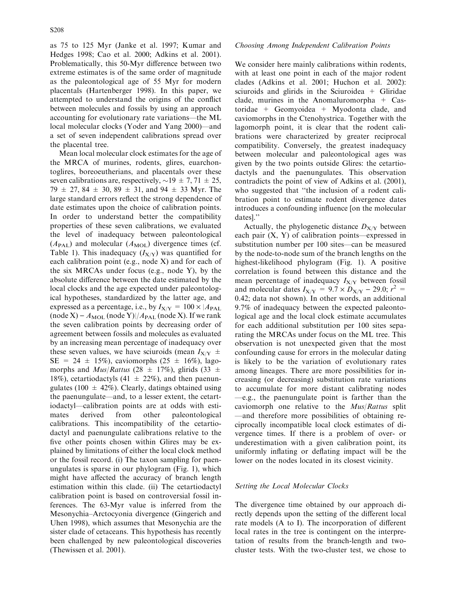as 75 to 125 Myr (Janke et al. 1997; Kumar and Hedges 1998; Cao et al. 2000; Adkins et al. 2001). Problematically, this 50-Myr difference between two extreme estimates is of the same order of magnitude as the paleontological age of 55 Myr for modern placentals (Hartenberger 1998). In this paper, we attempted to understand the origins of the conflict between molecules and fossils by using an approach accounting for evolutionary rate variations—the ML local molecular clocks (Yoder and Yang 2000)—and a set of seven independent calibrations spread over the placental tree.

Mean local molecular clock estimates for the age of the MRCA of murines, rodents, glires, euarchontoglires, boreoeutherians, and placentals over these seven calibrations are, respectively,  $\sim$ 19  $\pm$  7, 71  $\pm$  25, 79  $\pm$  27, 84  $\pm$  30, 89  $\pm$  31, and 94  $\pm$  33 Myr. The large standard errors reflect the strong dependence of date estimates upon the choice of calibration points. In order to understand better the compatibility properties of these seven calibrations, we evaluated the level of inadequacy between paleontological  $(A<sub>PAL</sub>)$  and molecular  $(A<sub>MOL</sub>)$  divergence times (cf. Table 1). This inadequacy  $(I_{X/Y})$  was quantified for each calibration point (e.g., node X) and for each of the six MRCAs under focus (e.g., node Y), by the absolute difference between the date estimated by the local clocks and the age expected under paleontological hypotheses, standardized by the latter age, and expressed as a percentage, i.e., by  $I_{X/Y} = 100 \times |A_{\text{PAL}}|$  $(\text{node } X) - A_{\text{MOL}} (\text{node } Y) / A_{\text{PAL}} (\text{node } X)$ . If we rank the seven calibration points by decreasing order of agreement between fossils and molecules as evaluated by an increasing mean percentage of inadequacy over these seven values, we have sciuroids (mean  $I_{X/Y}$   $\pm$  $SE = 24 \pm 15\%$ , caviomorphs (25  $\pm$  16%), lagomorphs and  $Mus/Rattus$  (28  $\pm$  17%), glirids (33  $\pm$ 18%), cetartiodactyls (41  $\pm$  22%), and then paenungulates (100  $\pm$  42%). Clearly, datings obtained using the paenungulate—and, to a lesser extent, the cetartiodactyl—calibration points are at odds with estimates derived from other paleontological calibrations. This incompatibility of the cetartiodactyl and paenungulate calibrations relative to the five other points chosen within Glires may be explained by limitations of either the local clock method or the fossil record. (i) The taxon sampling for paenungulates is sparse in our phylogram (Fig. 1), which might have affected the accuracy of branch length estimation within this clade. (ii) The cetartiodactyl calibration point is based on controversial fossil inferences. The 63-Myr value is inferred from the Mesonychia–Arctocyonia divergence (Gingerich and Uhen 1998), which assumes that Mesonychia are the sister clade of cetaceans. This hypothesis has recently been challenged by new paleontological discoveries (Thewissen et al. 2001).

### Choosing Among Independent Calibration Points

We consider here mainly calibrations within rodents, with at least one point in each of the major rodent clades (Adkins et al. 2001; Huchon et al. 2002): sciuroids and glirids in the Sciuroidea  $+$  Gliridae clade, murines in the Anomaluromorpha  $+$  Castoridae + Geomyoidea + Myodonta clade, and caviomorphs in the Ctenohystrica. Together with the lagomorph point, it is clear that the rodent calibrations were characterized by greater reciprocal compatibility. Conversely, the greatest inadequacy between molecular and paleontological ages was given by the two points outside Glires: the cetartiodactyls and the paenungulates. This observation contradicts the point of view of Adkins et al. (2001), who suggested that ''the inclusion of a rodent calibration point to estimate rodent divergence dates introduces a confounding influence [on the molecular dates].''

Actually, the phylogenetic distance  $D_{X/Y}$  between each pair (X, Y) of calibration points—expressed in substitution number per 100 sites—can be measured by the node-to-node sum of the branch lengths on the highest-likelihood phylogram (Fig. 1). A positive correlation is found between this distance and the mean percentage of inadequacy  $I_{X/Y}$  between fossil and molecular dates  $I_{X/Y} = 9.7 \times D_{X/Y} - 29.0; r^2 =$ 0.42; data not shown). In other words, an additional 9.7% of inadequacy between the expected paleontological age and the local clock estimate accumulates for each additional substitution per 100 sites separating the MRCAs under focus on the ML tree. This observation is not unexpected given that the most confounding cause for errors in the molecular dating is likely to be the variation of evolutionary rates among lineages. There are more possibilities for increasing (or decreasing) substitution rate variations to accumulate for more distant calibrating nodes —e.g., the paenungulate point is farther than the caviomorph one relative to the Mus/Rattus split —and therefore more possibilities of obtaining reciprocally incompatible local clock estimates of divergence times. If there is a problem of over- or underestimation with a given calibration point, its uniformly inflating or deflating impact will be the lower on the nodes located in its closest vicinity.

# Setting the Local Molecular Clocks

The divergence time obtained by our approach directly depends upon the setting of the different local rate models (A to I). The incorporation of different local rates in the tree is contingent on the interpretation of results from the branch-length and twocluster tests. With the two-cluster test, we chose to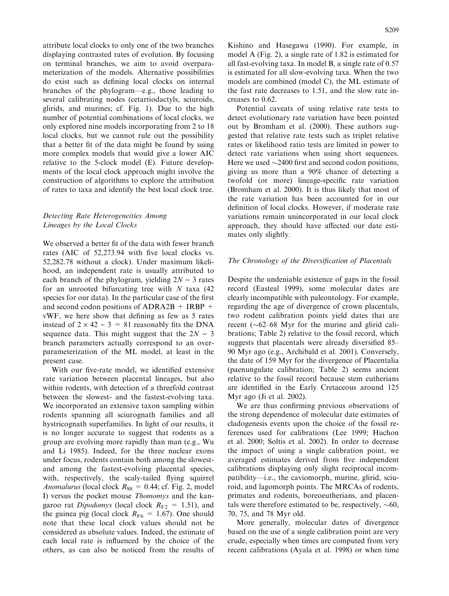attribute local clocks to only one of the two branches displaying contrasted rates of evolution. By focusing on terminal branches, we aim to avoid overparameterization of the models. Alternative possibilities do exist such as defining local clocks on internal branches of the phylogram—e.g., those leading to several calibrating nodes (cetartiodactyls, sciuroids, glirids, and murines; cf. Fig. 1). Due to the high number of potential combinations of local clocks, we only explored nine models incorporating from 2 to 18 local clocks, but we cannot rule out the possibility that a better fit of the data might be found by using more complex models that would give a lower AIC relative to the 5-clock model (E). Future developments of the local clock approach might involve the construction of algorithms to explore the attribution of rates to taxa and identify the best local clock tree.

# Detecting Rate Heterogeneities Among Lineages by the Local Clocks

We observed a better fit of the data with fewer branch rates (AIC of 52,273.94 with five local clocks vs. 52,282.78 without a clock). Under maximum likelihood, an independent rate is usually attributed to each branch of the phylogram, yielding  $2N - 3$  rates for an unrooted bifurcating tree with  $N$  taxa (42) species for our data). In the particular case of the first and second codon positions of  $ADRA2B + IRBP +$ vWF, we here show that defining as few as 5 rates instead of  $2 \times 42 - 3 = 81$  reasonably fits the DNA sequence data. This might suggest that the  $2N - 3$ branch parameters actually correspond to an overparameterization of the ML model, at least in the present case.

With our five-rate model, we identified extensive rate variation between placental lineages, but also within rodents, with detection of a threefold contrast between the slowest- and the fastest-evolving taxa. We incorporated an extensive taxon sampling within rodents spanning all sciurognath families and all hystricognath superfamilies. In light of our results, it is no longer accurate to suggest that rodents as a group are evolving more rapidly than man (e.g., Wu and Li 1985). Indeed, for the three nuclear exons under focus, rodents contain both among the slowestand among the fastest-evolving placental species, with, respectively, the scaly-tailed flying squirrel Anomalurus (local clock  $R_{S8} = 0.44$ ; cf. Fig. 2, model I) versus the pocket mouse Thomomys and the kangaroo rat *Dipodomys* (local clock  $R_{F2} = 1.51$ ), and the guinea pig (local clock  $R_{\text{F6}} = 1.67$ ). One should note that these local clock values should not be considered as absolute values. Indeed, the estimate of each local rate is influenced by the choice of the others, as can also be noticed from the results of

Kishino and Hasegawa (1990). For example, in model A (Fig. 2), a single rate of 1.82 is estimated for all fast-evolving taxa. In model B, a single rate of 0.57 is estimated for all slow-evolving taxa. When the two models are combined (model C), the ML estimate of the fast rate decreases to 1.51, and the slow rate increases to 0.62.

Potential caveats of using relative rate tests to detect evolutionary rate variation have been pointed out by Bromham et al. (2000). These authors suggested that relative rate tests such as triplet relative rates or likelihood ratio tests are limited in power to detect rate variations when using short sequences. Here we used  $\sim$ 2400 first and second codon positions, giving us more than a 90% chance of detecting a twofold (or more) lineage-specific rate variation (Bromham et al. 2000). It is thus likely that most of the rate variation has been accounted for in our definition of local clocks. However, if moderate rate variations remain unincorporated in our local clock approach, they should have affected our date estimates only slightly.

# The Chronology of the Diversification of Placentals

Despite the undeniable existence of gaps in the fossil record (Easteal 1999), some molecular dates are clearly incompatible with paleontology. For example, regarding the age of divergence of crown placentals, two rodent calibration points yield dates that are recent  $({\sim}62-68$  Myr for the murine and glirid calibrations; Table 2) relative to the fossil record, which suggests that placentals were already diversified 85– 90 Myr ago (e.g., Archibald et al. 2001). Conversely, the date of 159 Myr for the divergence of Placentalia (paenungulate calibration; Table 2) seems ancient relative to the fossil record because stem eutherians are identified in the Early Cretaceous around 125 Myr ago (Ji et al. 2002).

We are thus confirming previous observations of the strong dependence of molecular date estimates of cladogenesis events upon the choice of the fossil references used for calibrations (Lee 1999; Huchon et al. 2000; Soltis et al. 2002). In order to decrease the impact of using a single calibration point, we averaged estimates derived from five independent calibrations displaying only slight reciprocal incompatibility—i.e., the caviomorph, murine, glirid, sciuroid, and lagomorph points. The MRCAs of rodents, primates and rodents, boreoeutherians, and placentals were therefore estimated to be, respectively,  $\sim 60$ , 70, 75, and 78 Myr old.

More generally, molecular dates of divergence based on the use of a single calibration point are very crude, especially when times are computed from very recent calibrations (Ayala et al. 1998) or when time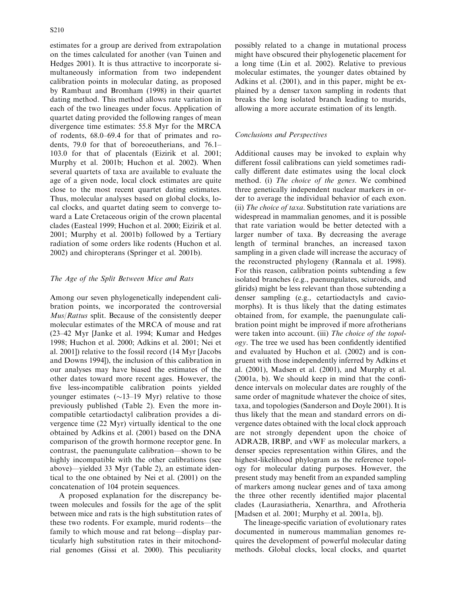estimates for a group are derived from extrapolation on the times calculated for another (van Tuinen and Hedges 2001). It is thus attractive to incorporate simultaneously information from two independent calibration points in molecular dating, as proposed by Rambaut and Bromham (1998) in their quartet dating method. This method allows rate variation in each of the two lineages under focus. Application of quartet dating provided the following ranges of mean divergence time estimates: 55.8 Myr for the MRCA of rodents, 68.0–69.4 for that of primates and rodents, 79.0 for that of boreoeutherians, and 76.1– 103.0 for that of placentals (Eizirik et al. 2001; Murphy et al. 2001b; Huchon et al. 2002). When several quartets of taxa are available to evaluate the age of a given node, local clock estimates are quite close to the most recent quartet dating estimates. Thus, molecular analyses based on global clocks, local clocks, and quartet dating seem to converge toward a Late Cretaceous origin of the crown placental clades (Easteal 1999; Huchon et al. 2000; Eizirik et al. 2001; Murphy et al. 2001b) followed by a Tertiary radiation of some orders like rodents (Huchon et al. 2002) and chiropterans (Springer et al. 2001b).

# The Age of the Split Between Mice and Rats

Among our seven phylogenetically independent calibration points, we incorporated the controversial Mus/Rattus split. Because of the consistently deeper molecular estimates of the MRCA of mouse and rat (23–42 Myr [Janke et al. 1994; Kumar and Hedges 1998; Huchon et al. 2000; Adkins et al. 2001; Nei et al. 2001]) relative to the fossil record (14 Myr [Jacobs and Downs 1994]), the inclusion of this calibration in our analyses may have biased the estimates of the other dates toward more recent ages. However, the five less-incompatible calibration points yielded younger estimates  $(\sim 13-19 \text{ Myr})$  relative to those previously published (Table 2). Even the more incompatible cetartiodactyl calibration provides a divergence time (22 Myr) virtually identical to the one obtained by Adkins et al. (2001) based on the DNA comparison of the growth hormone receptor gene. In contrast, the paenungulate calibration—shown to be highly incompatible with the other calibrations (see above)—yielded 33 Myr (Table 2), an estimate identical to the one obtained by Nei et al. (2001) on the concatenation of 104 protein sequences.

A proposed explanation for the discrepancy between molecules and fossils for the age of the split between mice and rats is the high substitution rates of these two rodents. For example, murid rodents—the family to which mouse and rat belong—display particularly high substitution rates in their mitochondrial genomes (Gissi et al. 2000). This peculiarity

possibly related to a change in mutational process might have obscured their phylogenetic placement for a long time (Lin et al. 2002). Relative to previous molecular estimates, the younger dates obtained by Adkins et al. (2001), and in this paper, might be explained by a denser taxon sampling in rodents that breaks the long isolated branch leading to murids, allowing a more accurate estimation of its length.

# Conclusions and Perspectives

Additional causes may be invoked to explain why different fossil calibrations can yield sometimes radically different date estimates using the local clock method. (i) The choice of the genes. We combined three genetically independent nuclear markers in order to average the individual behavior of each exon. (ii) The choice of taxa. Substitution rate variations are widespread in mammalian genomes, and it is possible that rate variation would be better detected with a larger number of taxa. By decreasing the average length of terminal branches, an increased taxon sampling in a given clade will increase the accuracy of the reconstructed phylogeny (Rannala et al. 1998). For this reason, calibration points subtending a few isolated branches (e.g., paenungulates, sciuroids, and glirids) might be less relevant than those subtending a denser sampling (e.g., cetartiodactyls and caviomorphs). It is thus likely that the dating estimates obtained from, for example, the paenungulate calibration point might be improved if more afrotherians were taken into account. (iii) The choice of the topology. The tree we used has been confidently identified and evaluated by Huchon et al. (2002) and is congruent with those independently inferred by Adkins et al. (2001), Madsen et al. (2001), and Murphy et al. (2001a, b). We should keep in mind that the confidence intervals on molecular dates are roughly of the same order of magnitude whatever the choice of sites, taxa, and topologies (Sanderson and Doyle 2001). It is thus likely that the mean and standard errors on divergence dates obtained with the local clock approach are not strongly dependent upon the choice of ADRA2B, IRBP, and vWF as molecular markers, a denser species representation within Glires, and the highest-likelihood phylogram as the reference topology for molecular dating purposes. However, the present study may benefit from an expanded sampling of markers among nuclear genes and of taxa among the three other recently identified major placental clades (Laurasiatheria, Xenarthra, and Afrotheria [Madsen et al. 2001; Murphy et al. 2001a, b]).

The lineage-specific variation of evolutionary rates documented in numerous mammalian genomes requires the development of powerful molecular dating methods. Global clocks, local clocks, and quartet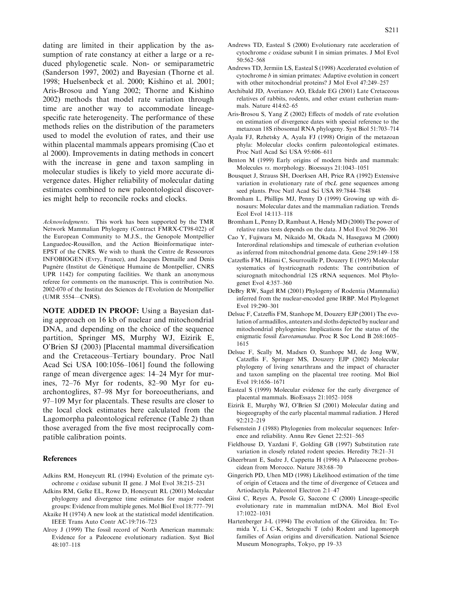dating are limited in their application by the assumption of rate constancy at either a large or a reduced phylogenetic scale. Non- or semiparametric (Sanderson 1997, 2002) and Bayesian (Thorne et al. 1998; Huelsenbeck et al. 2000; Kishino et al. 2001; Aris-Brosou and Yang 2002; Thorne and Kishino 2002) methods that model rate variation through time are another way to accommodate lineagespecific rate heterogeneity. The performance of these methods relies on the distribution of the parameters used to model the evolution of rates, and their use within placental mammals appears promising (Cao et al 2000). Improvements in dating methods in concert with the increase in gene and taxon sampling in molecular studies is likely to yield more accurate divergence dates. Higher reliability of molecular dating estimates combined to new paleontological discoveries might help to reconcile rocks and clocks.

Acknowledgments. This work has been supported by the TMR Network Mammalian Phylogeny (Contract FMRX-CT98-022) of the European Community to M.J.S., the Genopole Montpellier Languedoc-Roussillon, and the Action Bioinformatique inter-EPST of the CNRS. We wish to thank the Centre de Ressources INFOBIOGEN (Evry, France), and Jacques Demaille and Denis Pugnère (Institut de Génétique Humaine de Montpellier, CNRS UPR 1142) for computing facilities. We thank an anonymous referee for comments on the manuscript. This is contribution No. 2002-070 of the Institut des Sciences de l'Evolution de Montpellier (UMR 5554—CNRS).

NOTE ADDED IN PROOF: Using a Bayesian dating approach on 16 kb of nuclear and mitochondrial DNA, and depending on the choice of the sequence partition, Springer MS, Murphy WJ, Eizirik E, O'Brien SJ (2003) [Placental mammal diversification and the Cretaceous–Tertiary boundary. Proc Natl Acad Sci USA 100:1056–1061] found the following range of mean divergence ages: 14–24 Myr for murines, 72–76 Myr for rodents, 82–90 Myr for euarchontoglires, 87–98 Myr for boreoeutherians, and 97–109 Myr for placentals. These results are closer to the local clock estimates here calculated from the Lagomorpha paleontological reference (Table 2) than those averaged from the five most reciprocally compatible calibration points.

### References

- Adkins RM, Honeycutt RL (1994) Evolution of the primate cytochrome c oxidase subunit II gene. J Mol Evol 38:215–231
- Adkins RM, Gelke EL, Rowe D, Honeycutt RL (2001) Molecular phylogeny and divergence time estimates for major rodent groups: Evidence from multiple genes. Mol Biol Evol 18:777–791
- Akaike H (1974) A new look at the statistical model identification. IEEE Trans Auto Contr AC-19:716–723
- Alroy J (1999) The fossil record of North American mammals: Evidence for a Paleocene evolutionary radiation. Syst Biol 48:107–118
- Andrews TD, Easteal S (2000) Evolutionary rate acceleration of cytochrome c oxidase subunit I in simian primates. J Mol Evol 50:562–568
- Andrews TD, Jermiin LS, Easteal S (1998) Accelerated evolution of cytochrome b in simian primates: Adaptive evolution in concert with other mitochondrial proteins? J Mol Evol 47:249–257
- Archibald JD, Averianov AO, Ekdale EG (2001) Late Cretaceous relatives of rabbits, rodents, and other extant eutherian mammals. Nature 414:62–65
- Aris-Brosou S, Yang Z (2002) Effects of models of rate evolution on estimation of divergence dates with special reference to the metazoan 18S ribosomal RNA phylogeny. Syst Biol 51:703–714
- Ayala FJ, Rzhetsky A, Ayala FJ (1998) Origin of the metazoan phyla: Molecular clocks confirm paleontological estimates. Proc Natl Acad Sci USA 95:606–611
- Benton M (1999) Early origins of modern birds and mammals: Molecules vs. morphology. Bioessays 21:1043–1051
- Bousquet J, Strauss SH, Doerksen AH, Price RA (1992) Extensive variation in evolutionary rate of rbcL gene sequences among seed plants. Proc Natl Acad Sci USA 89:7844–7848
- Bromham L, Phillips MJ, Penny D (1999) Growing up with dinosaurs: Molecular dates and the mammalian radiation. Trends Ecol Evol 14:113–118
- Bromham L, Penny D, Rambaut A, Hendy MD (2000) The power of relative rates tests depends on the data. J Mol Evol 50:296–301
- Cao Y, Fujiwara M, Nikaido M, Okada N, Hasegawa M (2000) Interordinal relationships and timescale of eutherian evolution as inferred from mitochondrial genome data. Gene 259:149–158
- Catzeflis FM, Hänni C, Sourrouille P, Douzery E (1995) Molecular systematics of hystricognath rodents: The contribution of sciurognath mitochondrial 12S rRNA sequences. Mol Phylogenet Evol 4:357–360
- DeBry RW, Sagel RM (2001) Phylogeny of Rodentia (Mammalia) inferred from the nuclear-encoded gene IRBP. Mol Phylogenet Evol 19:290–301
- Delsuc F, Catzeflis FM, Stanhope M, Douzery EJP (2001) The evolution of armadillos, anteaters and sloths depicted by nuclear and mitochondrial phylogenies: Implications for the status of the enigmatic fossil Eurotamandua. Proc R Soc Lond B 268:1605– 1615
- Delsuc F, Scally M, Madsen O, Stanhope MJ, de Jong WW, Catzeflis F, Springer MS, Douzery EJP (2002) Molecular phylogeny of living xenarthrans and the impact of character and taxon sampling on the placental tree rooting. Mol Biol Evol 19:1656–1671
- Easteal S (1999) Molecular evidence for the early divergence of placental mammals. BioEssays 21:1052–1058
- Eizirik E, Murphy WJ, O'Brien SJ (2001) Molecular dating and biogeography of the early placental mammal radiation. J Hered 92:212–219
- Felsenstein J (1988) Phylogenies from molecular sequences: Inference and reliability. Annu Rev Genet 22:521–565
- Fieldhouse D, Yazdani F, Golding GB (1997) Substitution rate variation in closely related rodent species. Heredity 78:21–31
- Gheerbrant E, Sudre J, Cappetta H (1996) A Palaeocene proboscidean from Morocco. Nature 383:68–70
- Gingerich PD, Uhen MD (1998) Likelihood estimation of the time of origin of Cetacea and the time of divergence of Cetacea and Artiodactyla. Paleontol Electron 2:1–47
- Gissi C, Reyes A, Pesole G, Saccone C (2000) Lineage-specific evolutionary rate in mammalian mtDNA. Mol Biol Evol 17:1022–1031
- Hartenberger J-L (1994) The evolution of the Gliroidea. In: Tomida Y, Li C-K, Setoguchi T (eds) Rodent and lagomorph families of Asian origins and diversification. National Science Museum Monographs, Tokyo, pp 19–33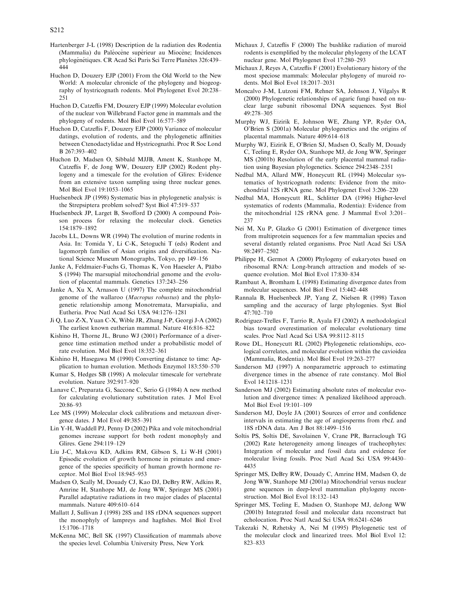- Hartenberger J-L (1998) Description de la radiation des Rodentia (Mammalia) du Paléocène supérieur au Miocène; Incidences phylogénétiques. CR Acad Sci Paris Sci Terre Planètes 326:439– 444
- Huchon D, Douzery EJP (2001) From the Old World to the New World: A molecular chronicle of the phylogeny and biogeography of hystricognath rodents. Mol Phylogenet Evol 20:238– 251
- Huchon D, Catzeflis FM, Douzery EJP (1999) Molecular evolution of the nuclear von Willebrand Factor gene in mammals and the phylogeny of rodents. Mol Biol Evol 16:577–589
- Huchon D, Catzeflis F, Douzery EJP (2000) Variance of molecular datings, evolution of rodents, and the phylogenetic affinities between Ctenodactylidae and Hystricognathi. Proc R Soc Lond B 267:393–402
- Huchon D, Madsen O, Sibbald MJJB, Ament K, Stanhope M, Catzeflis F, de Jong WW, Douzery EJP (2002) Rodent phylogeny and a timescale for the evolution of Glires: Evidence from an extensive taxon sampling using three nuclear genes. Mol Biol Evol 19:1053–1065
- Huelsenbeck JP (1998) Systematic bias in phylogenetic analysis: is the Strepsiptera problem solved? Syst Biol 47:519–537
- Huelsenbeck JP, Larget B, Swofford D (2000) A compound Poisson process for relaxing the molecular clock. Genetics 154:1879–1892
- Jacobs LL, Downs WR (1994) The evolution of murine rodents in Asia. In: Tomida Y, Li C-K, Setoguchi T (eds) Rodent and lagomorph families of Asian origins and diversification. National Science Museum Monographs, Tokyo, pp 149–156
- Janke A, Feldmaier-Fuchs G, Thomas K, Von Haeseler A, Pääbo S (1994) The marsupial mitochondrial genome and the evolution of placental mammals. Genetics 137:243–256
- Janke A, Xu X, Arnason U (1997) The complete mitochondrial genome of the wallaroo (Macropus robustus) and the phylogenetic relationship among Monotremata, Marsupialia, and Eutheria. Proc Natl Acad Sci USA 94:1276–1281
- Ji Q, Luo Z-X, Yuan C-X, Wible JR, Zhang J-P, Georgi J-A (2002) The earliest known eutherian mammal. Nature 416:816–822
- Kishino H, Thorne JL, Bruno WJ (2001) Performance of a divergence time estimation method under a probabilistic model of rate evolution. Mol Biol Evol 18:352–361
- Kishino H, Hasegawa M (1990) Converting distance to time: Application to human evolution. Methods Enzymol 183:550–570
- Kumar S, Hedges SB (1998) A molecular timescale for vertebrate evolution. Nature 392:917–920
- Lanave C, Preparata G, Saccone C, Serio G (1984) A new method for calculating evolutionary substitution rates. J Mol Evol 20:86–93
- Lee MS (1999) Molecular clock calibrations and metazoan divergence dates. J Mol Evol 49:385–391
- Lin Y-H, Waddell PJ, Penny D (2002) Pika and vole mitochondrial genomes increase support for both rodent monophyly and Glires. Gene 294:119–129
- Liu J-C, Makova KD, Adkins RM, Gibson S, Li W-H (2001) Episodic evolution of growth hormone in primates and emergence of the species specificity of human growth hormone receptor. Mol Biol Evol 18:945–953
- Madsen O, Scally M, Douady CJ, Kao DJ, DeBry RW, Adkins R, Amrine H, Stanhope MJ, de Jong WW, Springer MS (2001) Parallel adaptative radiations in two major clades of placental mammals. Nature 409:610–614
- Mallatt J, Sullivan J (1998) 28S and 18S rDNA sequences support the monophyly of lampreys and hagfishes. Mol Biol Evol 15:1706–1718
- McKenna MC, Bell SK (1997) Classification of mammals above the species level. Columbia University Press, New York
- Michaux J, Catzeflis F (2000) The bushlike radiation of muroid rodents is exemplified by the molecular phylogeny of the LCAT nuclear gene. Mol Phylogenet Evol 17:280–293
- Michaux J, Reyes A, Catzeflis F (2001) Evolutionary history of the most speciose mammals: Molecular phylogeny of muroid rodents. Mol Biol Evol 18:2017–2031
- Moncalvo J-M, Lutzoni FM, Rehner SA, Johnson J, Vilgalys R (2000) Phylogenetic relationships of agaric fungi based on nuclear large subunit ribosomal DNA sequences. Syst Biol 49:278–305
- Murphy WJ, Eizirik E, Johnson WE, Zhang YP, Ryder OA, O'Brien S (2001a) Molecular phylogenetics and the origins of placental mammals. Nature 409:614–618
- Murphy WJ, Eizirik E, O'Brien SJ, Madsen O, Scally M, Douady C, Teeling E, Ryder OA, Stanhope MJ, de Jong WW, Springer MS (2001b) Resolution of the early placental mammal radiation using Bayesian phylogenetics. Science 294:2348–2351
- Nedbal MA, Allard MW, Honeycutt RL (1994) Molecular systematics of hystricognath rodents: Evidence from the mitochondrial 12S rRNA gene. Mol Phylogenet Evol 3:206–220
- Nedbal MA, Honeycutt RL, Schlitter DA (1996) Higher-level systematics of rodents (Mammalia, Rodentia): Evidence from the mitochondrial 12S rRNA gene. J Mammal Evol 3:201– 237
- Nei M, Xu P, Glazko G (2001) Estimation of divergence times from multiprotein sequences for a few mammalian species and several distantly related organisms. Proc Natl Acad Sci USA 98:2497–2502
- Philippe H, Germot A (2000) Phylogeny of eukaryotes based on ribosomal RNA: Long-branch attraction and models of sequence evolution. Mol Biol Evol 17:830–834
- Rambaut A, Bromham L (1998) Estimating divergence dates from molecular sequences. Mol Biol Evol 15:442–448
- Rannala B, Huelsenbeck JP, Yang Z, Nielsen R (1998) Taxon sampling and the accuracy of large phylogenies. Syst Biol 47:702–710
- Rodriguez-Trelles F, Tarrio R, Ayala FJ (2002) A methodological bias toward overestimation of molecular evolutionary time scales. Proc Natl Acad Sci USA 99:8112–8115
- Rowe DL, Honeycutt RL (2002) Phylogenetic relationships, ecological correlates, and molecular evolution within the cavioidea (Mammalia, Rodentia). Mol Biol Evol 19:263–277
- Sanderson MJ (1997) A nonparametric approach to estimating divergence times in the absence of rate constancy. Mol Biol Evol 14:1218–1231
- Sanderson MJ (2002) Estimating absolute rates of molecular evolution and divergence times: A penalized likelihood approach. Mol Biol Evol 19:101–109
- Sanderson MJ, Doyle JA (2001) Sources of error and confidence intervals in estimating the age of angiosperms from rbcL and 18S rDNA data. Am J Bot 88:1499–1516
- Soltis PS, Soltis DE, Savolainen V, Crane PR, Barraclough TG (2002) Rate heterogeneity among lineages of tracheophytes: Integration of molecular and fossil data and evidence for molecular living fossils. Proc Natl Acad Sci USA 99:4430– 4435
- Springer MS, DeBry RW, Douady C, Amrine HM, Madsen O, de Jong WW, Stanhope MJ (2001a) Mitochondrial versus nuclear gene sequences in deep-level mammalian phylogeny reconstruction. Mol Biol Evol 18:132–143
- Springer MS, Teeling E, Madsen O, Stanhope MJ, deJong WW (2001b) Integrated fossil and molecular data reconstruct bat echolocation. Proc Natl Acad Sci USA 98:6241–6246
- Takezaki N, Rzhetsky A, Nei M (1995) Phylogenetic test of the molecular clock and linearized trees. Mol Biol Evol 12: 823–833